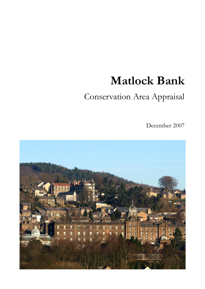# Matlock Bank

## Conservation Area Appraisal

December 2007

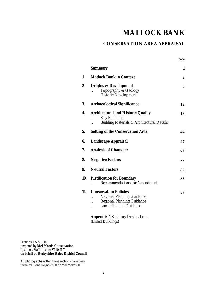## **MATLOCK BANK**

page

#### **CONSERVATION AREA APPRAISAL**

|     | <b>Summary</b>                                                                                                                                                                       | 1                |
|-----|--------------------------------------------------------------------------------------------------------------------------------------------------------------------------------------|------------------|
| 1.  | <b>Matlock Bank in Context</b>                                                                                                                                                       | $\boldsymbol{2}$ |
| 2   | <b>Origins &amp; Development</b><br>Topography & Geology<br><b>Historic Development</b>                                                                                              | 3                |
| 3.  | <b>Archaeological Significance</b>                                                                                                                                                   | 12               |
| 4.  | <b>Architectural and Historic Quality</b><br><b>Key Buildings</b><br>Building Materials & Architectural Details                                                                      | 13               |
| 5.  | <b>Setting of the Conservation Area</b>                                                                                                                                              | 44               |
| 6.  | <b>Landscape Appraisal</b>                                                                                                                                                           | 47               |
| 7.  | <b>Analysis of Character</b>                                                                                                                                                         | 67               |
| 8.  | <b>Negative Factors</b>                                                                                                                                                              | 77               |
| 9.  | <b>Neutral Factors</b>                                                                                                                                                               | 82               |
| 10. | <b>Justification for Boundary</b><br><b>Recommendations for Amendment</b>                                                                                                            | 83               |
| 11. | <b>Conservation Policies</b><br><b>National Planning Guidance</b><br><b>Regional Planning Guidance</b><br><b>Local Planning Guidance</b><br><b>Appendix 1 Statutory Designations</b> | 87               |

Sections 1-5 & 7-10 prepared by **Mel Morris Conservation**, Ipstones, Staffordshire ST10 2LY on behalf of **Derbyshire Dales District Council**

All photographs within these sections have been taken by Fiona Reynolds © or Mel Morris ©

(Listed Buildings)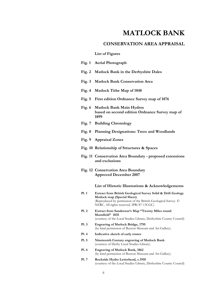### MATLOCK BANK

#### CONSERVATION AREA APPRAISAL

#### List of Figures

|              | Fig. 1 Aerial Photograph                                                                                                                                                                                 |
|--------------|----------------------------------------------------------------------------------------------------------------------------------------------------------------------------------------------------------|
| Fig. $2$     | Matlock Bank in the Derbyshire Dales                                                                                                                                                                     |
| Fig. $3$     | <b>Matlock Bank Conservation Area</b>                                                                                                                                                                    |
| Fig. $4$     | <b>Matlock Tithe Map of 1848</b>                                                                                                                                                                         |
| Fig. $5$     | First edition Ordnance Survey map of 1876                                                                                                                                                                |
|              | Fig. 6 Matlock Bank Main Hydros<br>based on second edition Ordnance Survey map of<br>1899                                                                                                                |
|              | Fig. 7 Building Chronology                                                                                                                                                                               |
| Fig. $8$     | <b>Planning Designations: Trees and Woodlands</b>                                                                                                                                                        |
|              | Fig. 9 Appraisal Zones                                                                                                                                                                                   |
|              | Fig. 10 Relationship of Structures & Spaces                                                                                                                                                              |
|              | Fig. 11 Conservation Area Boundary - proposed extensions<br>and exclusions                                                                                                                               |
|              | Fig. 12 Conservation Area Boundary<br><b>Approved December 2007</b>                                                                                                                                      |
|              | List of Historic Illustrations & Acknowledgements                                                                                                                                                        |
| <b>Pl. 1</b> | Extract from British Geological Survey Solid & Drift Geology<br>Matlock map (Special Sheet)<br>(Reproduced by permission of the British Geological Survey. ©<br>NERC. All rights reserved. IPR/87-13CGC) |
| Pl. 2        | Extract from Sanderson's Map "Twenty Miles round<br>Mansfield" 1835<br>(courtesy of the Local Studies Library, Derbyshire County Council)                                                                |
| Pl.3         | <b>Engraving of Matlock Bridge, 1795</b><br>(by kind permission of Buxton Museum and Art Gallery)                                                                                                        |
| <b>Pl.</b> 4 | Indicative sketch of early routes                                                                                                                                                                        |
| Pl. 5        | Nineteenth Century engraving of Matlock Bank<br>(courtesy of Derby Local Studies Library)                                                                                                                |

- Pl. 6 Engraving of Matlock Bank, 1862 (by kind permission of Buxton Museum and Art Gallery)
- Pl. 7 Rockside Hydro Letterhead, c.1910 (courtesy of the Local Studies Library, Derbyshire County Council)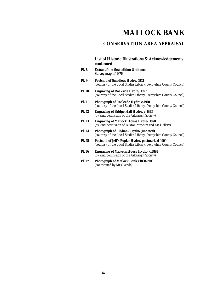## **MATLOCK BANK**

#### **CONSERVATION AREA APPRAISAL**

#### **List of Historic Illustrations & Acknowledgements continued**

- **Pl. 8 Extract from first edition Ordnance Survey map of 1876**
- **Pl. 9 Postcard of Smedleys Hydro, 1913**  (courtesy of the Local Studies Library, Derbyshire County Council)
- **Pl. 10 Engraving of Rockside Hydro, 1877**  (courtesy of the Local Studies Library, Derbyshire County Council)
- **Pl. 11 Photograph of Rockside Hydro c.1910**  (courtesy of the Local Studies Library, Derbyshire County Council)
- **Pl. 12 Engraving of Bridge Hall Hydro, c.1893**  (by kind permission of the Arkwright Society)
- **Pl. 13 Engraving of Matlock House Hydro, 1870**  (by kind permission of Buxton Museum and Art Gallery)
- **Pl. 14 Photograph of Lilybank Hydro (undated)**  (courtesy of the Local Studies Library, Derbyshire County Council)
- **Pl. 15 Postcard of Jeff's Poplar Hydro, postmarked 1909**  (courtesy of the Local Studies Library, Derbyshire County Council)
- **Pl. 16 Engraving of Malvern House Hydro, c.1893**  (by kind permission of the Arkwright Society)
- **Pl. 17 Photograph of Matlock Bank c1890-1900**  (contributed by Mr C Arkle)